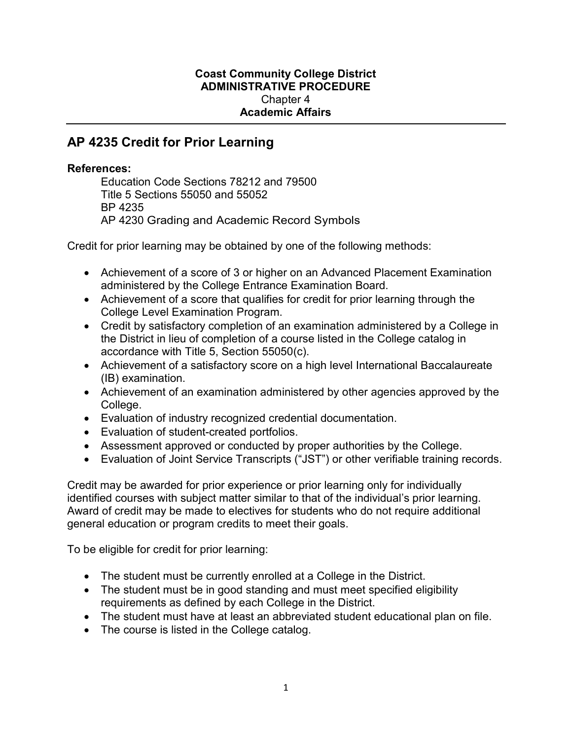## Coast Community College District ADMINISTRATIVE PROCEDURE Chapter 4 Academic Affairs

## AP 4235 Credit for Prior Learning

## References:

Education Code Sections 78212 and 79500 Title 5 Sections 55050 and 55052 BP 4235 AP 4230 Grading and Academic Record Symbols

Credit for prior learning may be obtained by one of the following methods:

- Achievement of a score of 3 or higher on an Advanced Placement Examination administered by the College Entrance Examination Board.
- Achievement of a score that qualifies for credit for prior learning through the College Level Examination Program.
- Credit by satisfactory completion of an examination administered by a College in the District in lieu of completion of a course listed in the College catalog in accordance with Title 5, Section 55050(c).
- Achievement of a satisfactory score on a high level International Baccalaureate (IB) examination.
- Achievement of an examination administered by other agencies approved by the College.
- Evaluation of industry recognized credential documentation.
- Evaluation of student-created portfolios.
- Assessment approved or conducted by proper authorities by the College.
- Evaluation of Joint Service Transcripts ("JST") or other verifiable training records.

Credit may be awarded for prior experience or prior learning only for individually identified courses with subject matter similar to that of the individual's prior learning. Award of credit may be made to electives for students who do not require additional general education or program credits to meet their goals.

To be eligible for credit for prior learning:

- The student must be currently enrolled at a College in the District.
- The student must be in good standing and must meet specified eligibility requirements as defined by each College in the District.
- The student must have at least an abbreviated student educational plan on file.
- The course is listed in the College catalog.